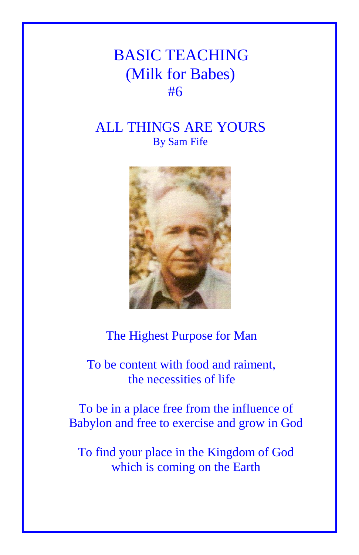## BASIC TEACHING (Milk for Babes) **#6**

## ALL THINGS ARE YOURS By Sam Fife



## The Highest Purpose for Man

 To be content with food and raiment, the necessities of life

To be in a place free from the influence of Babylon and free to exercise and grow in God

To find your place in the Kingdom of God which is coming on the Earth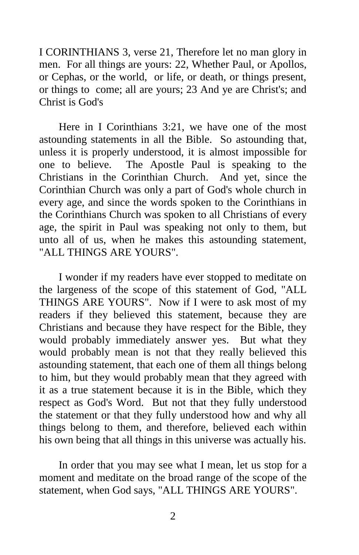I CORINTHIANS 3, verse 21, Therefore let no man glory in men. For all things are yours: 22, Whether Paul, or Apollos, or Cephas, or the world, or life, or death, or things present, or things to come; all are yours; 23 And ye are Christ's; and Christ is God's

Here in I Corinthians 3:21, we have one of the most astounding statements in all the Bible. So astounding that, unless it is properly understood, it is almost impossible for one to believe. The Apostle Paul is speaking to the Christians in the Corinthian Church. And yet, since the Corinthian Church was only a part of God's whole church in every age, and since the words spoken to the Corinthians in the Corinthians Church was spoken to all Christians of every age, the spirit in Paul was speaking not only to them, but unto all of us, when he makes this astounding statement, "ALL THINGS ARE YOURS".

I wonder if my readers have ever stopped to meditate on the largeness of the scope of this statement of God, "ALL THINGS ARE YOURS". Now if I were to ask most of my readers if they believed this statement, because they are Christians and because they have respect for the Bible, they would probably immediately answer yes. But what they would probably mean is not that they really believed this astounding statement, that each one of them all things belong to him, but they would probably mean that they agreed with it as a true statement because it is in the Bible, which they respect as God's Word. But not that they fully understood the statement or that they fully understood how and why all things belong to them, and therefore, believed each within his own being that all things in this universe was actually his.

In order that you may see what I mean, let us stop for a moment and meditate on the broad range of the scope of the statement, when God says, "ALL THINGS ARE YOURS".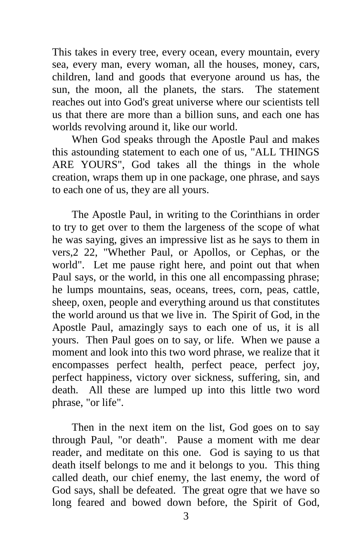This takes in every tree, every ocean, every mountain, every sea, every man, every woman, all the houses, money, cars, children, land and goods that everyone around us has, the sun, the moon, all the planets, the stars. The statement reaches out into God's great universe where our scientists tell us that there are more than a billion suns, and each one has worlds revolving around it, like our world.

When God speaks through the Apostle Paul and makes this astounding statement to each one of us, "ALL THINGS ARE YOURS", God takes all the things in the whole creation, wraps them up in one package, one phrase, and says to each one of us, they are all yours.

The Apostle Paul, in writing to the Corinthians in order to try to get over to them the largeness of the scope of what he was saying, gives an impressive list as he says to them in vers,2 22, "Whether Paul, or Apollos, or Cephas, or the world". Let me pause right here, and point out that when Paul says, or the world, in this one all encompassing phrase; he lumps mountains, seas, oceans, trees, corn, peas, cattle, sheep, oxen, people and everything around us that constitutes the world around us that we live in. The Spirit of God, in the Apostle Paul, amazingly says to each one of us, it is all yours. Then Paul goes on to say, or life. When we pause a moment and look into this two word phrase, we realize that it encompasses perfect health, perfect peace, perfect joy, perfect happiness, victory over sickness, suffering, sin, and death. All these are lumped up into this little two word phrase, "or life".

Then in the next item on the list, God goes on to say through Paul, "or death". Pause a moment with me dear reader, and meditate on this one. God is saying to us that death itself belongs to me and it belongs to you. This thing called death, our chief enemy, the last enemy, the word of God says, shall be defeated. The great ogre that we have so long feared and bowed down before, the Spirit of God,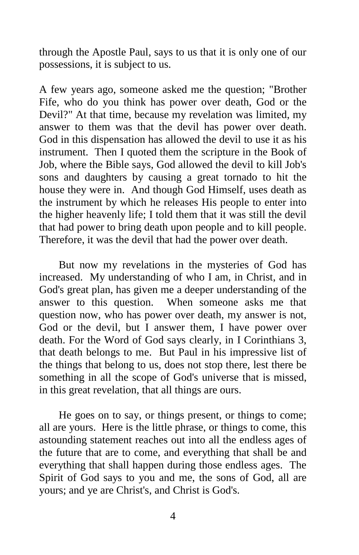through the Apostle Paul, says to us that it is only one of our possessions, it is subject to us.

A few years ago, someone asked me the question; "Brother Fife, who do you think has power over death, God or the Devil?" At that time, because my revelation was limited, my answer to them was that the devil has power over death. God in this dispensation has allowed the devil to use it as his instrument. Then I quoted them the scripture in the Book of Job, where the Bible says, God allowed the devil to kill Job's sons and daughters by causing a great tornado to hit the house they were in. And though God Himself, uses death as the instrument by which he releases His people to enter into the higher heavenly life; I told them that it was still the devil that had power to bring death upon people and to kill people. Therefore, it was the devil that had the power over death.

But now my revelations in the mysteries of God has increased. My understanding of who I am, in Christ, and in God's great plan, has given me a deeper understanding of the answer to this question. When someone asks me that question now, who has power over death, my answer is not, God or the devil, but I answer them, I have power over death. For the Word of God says clearly, in I Corinthians 3, that death belongs to me. But Paul in his impressive list of the things that belong to us, does not stop there, lest there be something in all the scope of God's universe that is missed, in this great revelation, that all things are ours.

He goes on to say, or things present, or things to come; all are yours. Here is the little phrase, or things to come, this astounding statement reaches out into all the endless ages of the future that are to come, and everything that shall be and everything that shall happen during those endless ages. The Spirit of God says to you and me, the sons of God, all are yours; and ye are Christ's, and Christ is God's.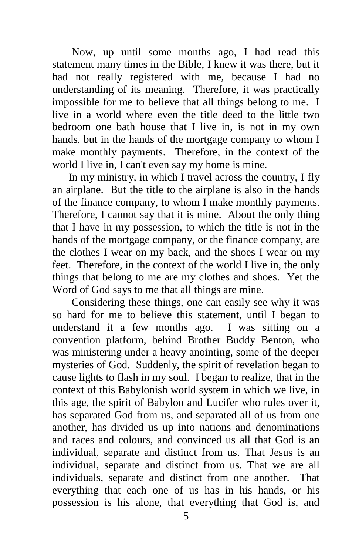Now, up until some months ago, I had read this statement many times in the Bible, I knew it was there, but it had not really registered with me, because I had no understanding of its meaning. Therefore, it was practically impossible for me to believe that all things belong to me. I live in a world where even the title deed to the little two bedroom one bath house that I live in, is not in my own hands, but in the hands of the mortgage company to whom I make monthly payments. Therefore, in the context of the world I live in, I can't even say my home is mine.

 In my ministry, in which I travel across the country, I fly an airplane. But the title to the airplane is also in the hands of the finance company, to whom I make monthly payments. Therefore, I cannot say that it is mine. About the only thing that I have in my possession, to which the title is not in the hands of the mortgage company, or the finance company, are the clothes I wear on my back, and the shoes I wear on my feet. Therefore, in the context of the world I live in, the only things that belong to me are my clothes and shoes. Yet the Word of God says to me that all things are mine.

Considering these things, one can easily see why it was so hard for me to believe this statement, until I began to understand it a few months ago. I was sitting on a convention platform, behind Brother Buddy Benton, who was ministering under a heavy anointing, some of the deeper mysteries of God. Suddenly, the spirit of revelation began to cause lights to flash in my soul. I began to realize, that in the context of this Babylonish world system in which we live, in this age, the spirit of Babylon and Lucifer who rules over it, has separated God from us, and separated all of us from one another, has divided us up into nations and denominations and races and colours, and convinced us all that God is an individual, separate and distinct from us. That Jesus is an individual, separate and distinct from us. That we are all individuals, separate and distinct from one another. That everything that each one of us has in his hands, or his possession is his alone, that everything that God is, and

5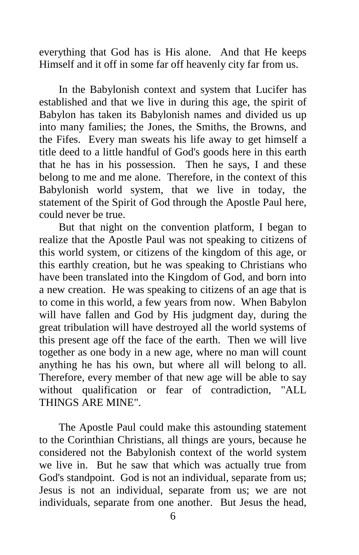everything that God has is His alone. And that He keeps Himself and it off in some far off heavenly city far from us.

In the Babylonish context and system that Lucifer has established and that we live in during this age, the spirit of Babylon has taken its Babylonish names and divided us up into many families; the Jones, the Smiths, the Browns, and the Fifes. Every man sweats his life away to get himself a title deed to a little handful of God's goods here in this earth that he has in his possession. Then he says, I and these belong to me and me alone. Therefore, in the context of this Babylonish world system, that we live in today, the statement of the Spirit of God through the Apostle Paul here, could never be true.

But that night on the convention platform, I began to realize that the Apostle Paul was not speaking to citizens of this world system, or citizens of the kingdom of this age, or this earthly creation, but he was speaking to Christians who have been translated into the Kingdom of God, and born into a new creation. He was speaking to citizens of an age that is to come in this world, a few years from now. When Babylon will have fallen and God by His judgment day, during the great tribulation will have destroyed all the world systems of this present age off the face of the earth. Then we will live together as one body in a new age, where no man will count anything he has his own, but where all will belong to all. Therefore, every member of that new age will be able to say without qualification or fear of contradiction, "ALL THINGS ARE MINE".

The Apostle Paul could make this astounding statement to the Corinthian Christians, all things are yours, because he considered not the Babylonish context of the world system we live in. But he saw that which was actually true from God's standpoint. God is not an individual, separate from us; Jesus is not an individual, separate from us; we are not individuals, separate from one another. But Jesus the head,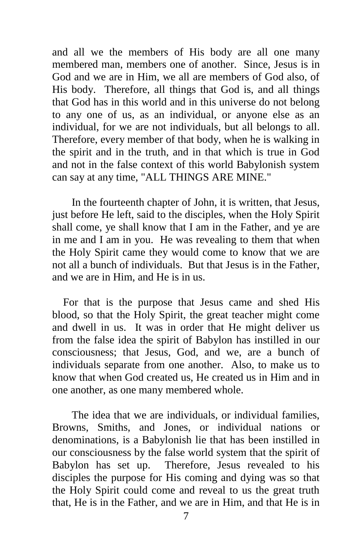and all we the members of His body are all one many membered man, members one of another. Since, Jesus is in God and we are in Him, we all are members of God also, of His body. Therefore, all things that God is, and all things that God has in this world and in this universe do not belong to any one of us, as an individual, or anyone else as an individual, for we are not individuals, but all belongs to all. Therefore, every member of that body, when he is walking in the spirit and in the truth, and in that which is true in God and not in the false context of this world Babylonish system can say at any time, "ALL THINGS ARE MINE."

In the fourteenth chapter of John, it is written, that Jesus, just before He left, said to the disciples, when the Holy Spirit shall come, ye shall know that I am in the Father, and ye are in me and I am in you. He was revealing to them that when the Holy Spirit came they would come to know that we are not all a bunch of individuals. But that Jesus is in the Father, and we are in Him, and He is in us.

 For that is the purpose that Jesus came and shed His blood, so that the Holy Spirit, the great teacher might come and dwell in us. It was in order that He might deliver us from the false idea the spirit of Babylon has instilled in our consciousness; that Jesus, God, and we, are a bunch of individuals separate from one another. Also, to make us to know that when God created us, He created us in Him and in one another, as one many membered whole.

The idea that we are individuals, or individual families, Browns, Smiths, and Jones, or individual nations or denominations, is a Babylonish lie that has been instilled in our consciousness by the false world system that the spirit of Babylon has set up. Therefore, Jesus revealed to his disciples the purpose for His coming and dying was so that the Holy Spirit could come and reveal to us the great truth that, He is in the Father, and we are in Him, and that He is in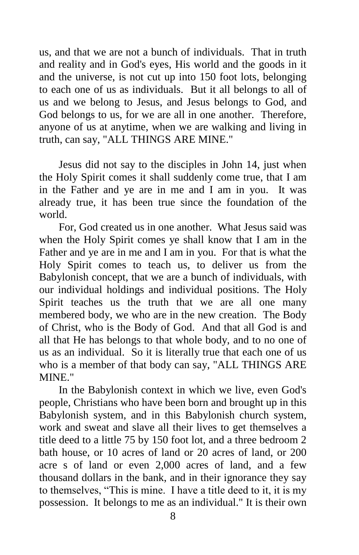us, and that we are not a bunch of individuals. That in truth and reality and in God's eyes, His world and the goods in it and the universe, is not cut up into 150 foot lots, belonging to each one of us as individuals. But it all belongs to all of us and we belong to Jesus, and Jesus belongs to God, and God belongs to us, for we are all in one another. Therefore, anyone of us at anytime, when we are walking and living in truth, can say, "ALL THINGS ARE MINE."

Jesus did not say to the disciples in John 14, just when the Holy Spirit comes it shall suddenly come true, that I am in the Father and ye are in me and I am in you. It was already true, it has been true since the foundation of the world.

For, God created us in one another. What Jesus said was when the Holy Spirit comes ye shall know that I am in the Father and ye are in me and I am in you. For that is what the Holy Spirit comes to teach us, to deliver us from the Babylonish concept, that we are a bunch of individuals, with our individual holdings and individual positions. The Holy Spirit teaches us the truth that we are all one many membered body, we who are in the new creation. The Body of Christ, who is the Body of God. And that all God is and all that He has belongs to that whole body, and to no one of us as an individual. So it is literally true that each one of us who is a member of that body can say, "ALL THINGS ARE MINE."

In the Babylonish context in which we live, even God's people, Christians who have been born and brought up in this Babylonish system, and in this Babylonish church system, work and sweat and slave all their lives to get themselves a title deed to a little 75 by 150 foot lot, and a three bedroom 2 bath house, or 10 acres of land or 20 acres of land, or 200 acre s of land or even 2,000 acres of land, and a few thousand dollars in the bank, and in their ignorance they say to themselves, "This is mine. I have a title deed to it, it is my possession. It belongs to me as an individual." It is their own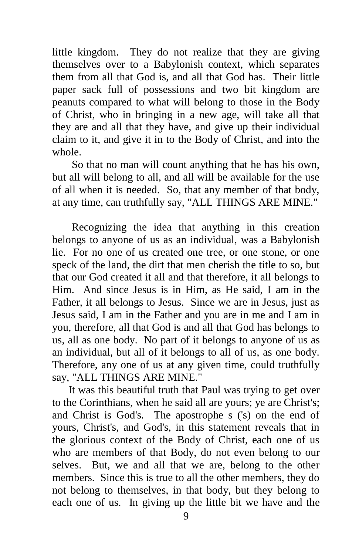little kingdom. They do not realize that they are giving themselves over to a Babylonish context, which separates them from all that God is, and all that God has. Their little paper sack full of possessions and two bit kingdom are peanuts compared to what will belong to those in the Body of Christ, who in bringing in a new age, will take all that they are and all that they have, and give up their individual claim to it, and give it in to the Body of Christ, and into the whole.

So that no man will count anything that he has his own, but all will belong to all, and all will be available for the use of all when it is needed. So, that any member of that body, at any time, can truthfully say, "ALL THINGS ARE MINE."

Recognizing the idea that anything in this creation belongs to anyone of us as an individual, was a Babylonish lie. For no one of us created one tree, or one stone, or one speck of the land, the dirt that men cherish the title to so, but that our God created it all and that therefore, it all belongs to Him. And since Jesus is in Him, as He said, I am in the Father, it all belongs to Jesus. Since we are in Jesus, just as Jesus said, I am in the Father and you are in me and I am in you, therefore, all that God is and all that God has belongs to us, all as one body. No part of it belongs to anyone of us as an individual, but all of it belongs to all of us, as one body. Therefore, any one of us at any given time, could truthfully say, "ALL THINGS ARE MINE."

 It was this beautiful truth that Paul was trying to get over to the Corinthians, when he said all are yours; ye are Christ's; and Christ is God's. The apostrophe s ('s) on the end of yours, Christ's, and God's, in this statement reveals that in the glorious context of the Body of Christ, each one of us who are members of that Body, do not even belong to our selves. But, we and all that we are, belong to the other members. Since this is true to all the other members, they do not belong to themselves, in that body, but they belong to each one of us. In giving up the little bit we have and the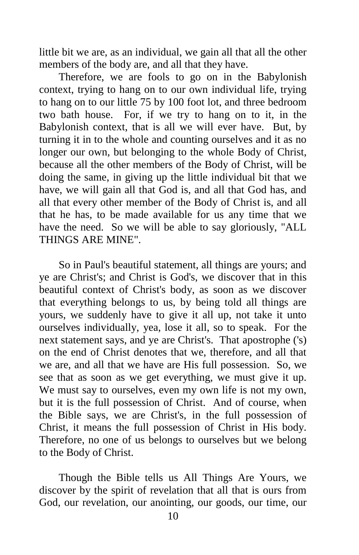little bit we are, as an individual, we gain all that all the other members of the body are, and all that they have.

Therefore, we are fools to go on in the Babylonish context, trying to hang on to our own individual life, trying to hang on to our little 75 by 100 foot lot, and three bedroom two bath house. For, if we try to hang on to it, in the Babylonish context, that is all we will ever have. But, by turning it in to the whole and counting ourselves and it as no longer our own, but belonging to the whole Body of Christ, because all the other members of the Body of Christ, will be doing the same, in giving up the little individual bit that we have, we will gain all that God is, and all that God has, and all that every other member of the Body of Christ is, and all that he has, to be made available for us any time that we have the need. So we will be able to say gloriously, "ALL THINGS ARE MINE".

So in Paul's beautiful statement, all things are yours; and ye are Christ's; and Christ is God's, we discover that in this beautiful context of Christ's body, as soon as we discover that everything belongs to us, by being told all things are yours, we suddenly have to give it all up, not take it unto ourselves individually, yea, lose it all, so to speak. For the next statement says, and ye are Christ's. That apostrophe ('s) on the end of Christ denotes that we, therefore, and all that we are, and all that we have are His full possession. So, we see that as soon as we get everything, we must give it up. We must say to ourselves, even my own life is not my own, but it is the full possession of Christ. And of course, when the Bible says, we are Christ's, in the full possession of Christ, it means the full possession of Christ in His body. Therefore, no one of us belongs to ourselves but we belong to the Body of Christ.

Though the Bible tells us All Things Are Yours, we discover by the spirit of revelation that all that is ours from God, our revelation, our anointing, our goods, our time, our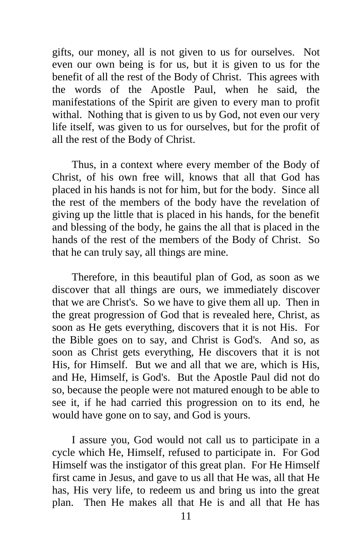gifts, our money, all is not given to us for ourselves. Not even our own being is for us, but it is given to us for the benefit of all the rest of the Body of Christ. This agrees with the words of the Apostle Paul, when he said, the manifestations of the Spirit are given to every man to profit withal. Nothing that is given to us by God, not even our very life itself, was given to us for ourselves, but for the profit of all the rest of the Body of Christ.

Thus, in a context where every member of the Body of Christ, of his own free will, knows that all that God has placed in his hands is not for him, but for the body. Since all the rest of the members of the body have the revelation of giving up the little that is placed in his hands, for the benefit and blessing of the body, he gains the all that is placed in the hands of the rest of the members of the Body of Christ. So that he can truly say, all things are mine.

Therefore, in this beautiful plan of God, as soon as we discover that all things are ours, we immediately discover that we are Christ's. So we have to give them all up. Then in the great progression of God that is revealed here, Christ, as soon as He gets everything, discovers that it is not His. For the Bible goes on to say, and Christ is God's. And so, as soon as Christ gets everything, He discovers that it is not His, for Himself. But we and all that we are, which is His, and He, Himself, is God's. But the Apostle Paul did not do so, because the people were not matured enough to be able to see it, if he had carried this progression on to its end, he would have gone on to say, and God is yours.

I assure you, God would not call us to participate in a cycle which He, Himself, refused to participate in. For God Himself was the instigator of this great plan. For He Himself first came in Jesus, and gave to us all that He was, all that He has, His very life, to redeem us and bring us into the great plan. Then He makes all that He is and all that He has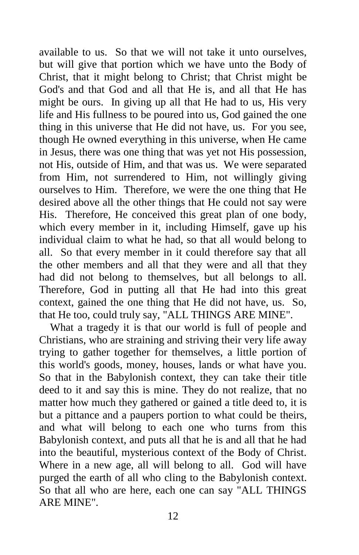available to us. So that we will not take it unto ourselves, but will give that portion which we have unto the Body of Christ, that it might belong to Christ; that Christ might be God's and that God and all that He is, and all that He has might be ours. In giving up all that He had to us, His very life and His fullness to be poured into us, God gained the one thing in this universe that He did not have, us. For you see, though He owned everything in this universe, when He came in Jesus, there was one thing that was yet not His possession, not His, outside of Him, and that was us. We were separated from Him, not surrendered to Him, not willingly giving ourselves to Him. Therefore, we were the one thing that He desired above all the other things that He could not say were His. Therefore, He conceived this great plan of one body, which every member in it, including Himself, gave up his individual claim to what he had, so that all would belong to all. So that every member in it could therefore say that all the other members and all that they were and all that they had did not belong to themselves, but all belongs to all. Therefore, God in putting all that He had into this great context, gained the one thing that He did not have, us. So, that He too, could truly say, "ALL THINGS ARE MINE".

 What a tragedy it is that our world is full of people and Christians, who are straining and striving their very life away trying to gather together for themselves, a little portion of this world's goods, money, houses, lands or what have you. So that in the Babylonish context, they can take their title deed to it and say this is mine. They do not realize, that no matter how much they gathered or gained a title deed to, it is but a pittance and a paupers portion to what could be theirs, and what will belong to each one who turns from this Babylonish context, and puts all that he is and all that he had into the beautiful, mysterious context of the Body of Christ. Where in a new age, all will belong to all. God will have purged the earth of all who cling to the Babylonish context. So that all who are here, each one can say "ALL THINGS ARE MINE".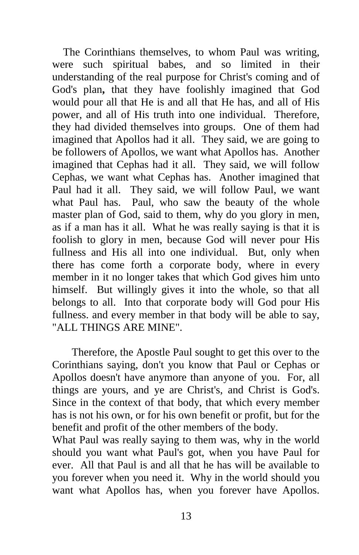The Corinthians themselves, to whom Paul was writing, were such spiritual babes, and so limited in their understanding of the real purpose for Christ's coming and of God's plan**,** that they have foolishly imagined that God would pour all that He is and all that He has, and all of His power, and all of His truth into one individual. Therefore, they had divided themselves into groups. One of them had imagined that Apollos had it all. They said, we are going to be followers of Apollos, we want what Apollos has. Another imagined that Cephas had it all. They said, we will follow Cephas, we want what Cephas has. Another imagined that Paul had it all. They said, we will follow Paul, we want what Paul has. Paul, who saw the beauty of the whole master plan of God, said to them, why do you glory in men, as if a man has it all. What he was really saying is that it is foolish to glory in men, because God will never pour His fullness and His all into one individual. But, only when there has come forth a corporate body, where in every member in it no longer takes that which God gives him unto himself. But willingly gives it into the whole, so that all belongs to all. Into that corporate body will God pour His fullness. and every member in that body will be able to say, "ALL THINGS ARE MINE".

Therefore, the Apostle Paul sought to get this over to the Corinthians saying, don't you know that Paul or Cephas or Apollos doesn't have anymore than anyone of you. For, all things are yours, and ye are Christ's, and Christ is God's. Since in the context of that body, that which every member has is not his own, or for his own benefit or profit, but for the benefit and profit of the other members of the body.

What Paul was really saying to them was, why in the world should you want what Paul's got, when you have Paul for ever. All that Paul is and all that he has will be available to you forever when you need it. Why in the world should you want what Apollos has, when you forever have Apollos.